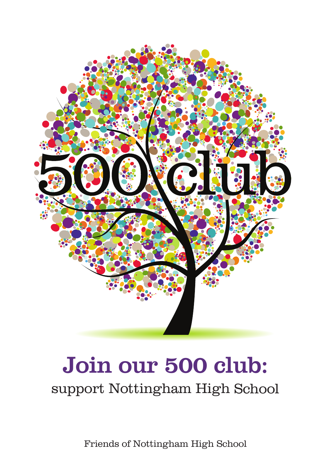

# Join our 500 club:

support Nottingham High School

Friends of Nottingham High School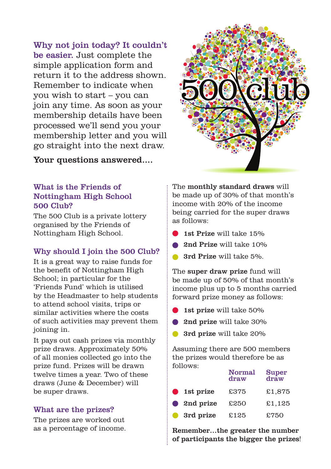Why not join today? It couldn't be easier. Just complete the simple application form and return it to the address shown. Remember to indicate when you wish to start – you can join any time. As soon as your membership details have been processed we'll send you your membership letter and you will go straight into the next draw.

Your questions answered....

# What is the Friends of Nottingham High School 500 Club?

The 500 Club is a private lottery organised by the Friends of Nottingham High School.

# Why should I join the 500 Club?

It is a great way to raise funds for the benefit of Nottingham High School; in particular for the 'Friends Fund' which is utilised by the Headmaster to help students to attend school visits, trips or similar activities where the costs of such activities may prevent them joining in.

It pays out cash prizes via monthly prize draws. Approximately 50% of all monies collected go into the prize fund. Prizes will be drawn twelve times a year. Two of these draws (June & December) will be super draws.

## What are the prizes?

The prizes are worked out as a percentage of income. The monthly standard draws will be made up of 30% of that month's income with 20% of the income being carried for the super draws as follows:

- 1st Prize will take 15%
- 2nd Prize will take 10%
- 3rd Prize will take 5%.

The super draw prize fund will be made up of 50% of that month's income plus up to 5 months carried forward prize money as follows:

- 1st prize will take 50%
- 2nd prize will take 30%
- 3rd prize will take 20%

Assuming there are 500 members the prizes would therefore be as follows:

|           |           | <b>Normal</b><br>draw | <b>Super</b><br>draw |
|-----------|-----------|-----------------------|----------------------|
| $\bullet$ | 1st prize | £375                  | £1,875               |
| $\bullet$ | 2nd prize | £250                  | £1.125               |
| $\bullet$ | 3rd prize | £125                  | £750                 |

Remember…the greater the number of participants the bigger the prizes!

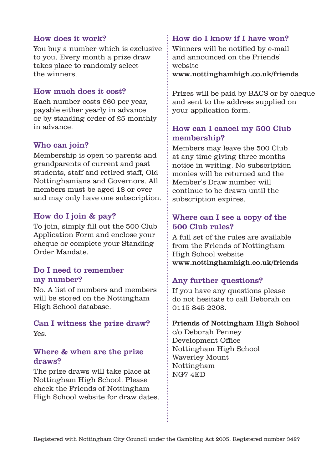#### How does it work?

You buy a number which is exclusive to you. Every month a prize draw takes place to randomly select the winners.

#### How much does it cost?

Each number costs £60 per year, payable either yearly in advance or by standing order of £5 monthly in advance.

#### Who can join?

Membership is open to parents and grandparents of current and past students, staff and retired staff, Old Nottinghamians and Governors. All members must be aged 18 or over and may only have one subscription.

#### How do I join & pay?

To join, simply fill out the 500 Club Application Form and enclose your cheque or complete your Standing Order Mandate.

#### Do I need to remember my number?

No. A list of numbers and members will be stored on the Nottingham High School database.

#### Can I witness the prize draw? Yes.

#### Where & when are the prize draws?

The prize draws will take place at Nottingham High School. Please check the Friends of Nottingham High School website for draw dates.

#### How do I know if I have won?

Winners will be notified by e-mail and announced on the Friends' website

www.nottinghamhigh.co.uk/friends

Prizes will be paid by BACS or by cheque and sent to the address supplied on your application form.

# How can I cancel my 500 Club membership?

Members may leave the 500 Club at any time giving three months notice in writing. No subscription monies will be returned and the Member's Draw number will continue to be drawn until the subscription expires.

# Where can I see a copy of the 500 Club rules?

A full set of the rules are available from the Friends of Nottingham High School website www.nottinghamhigh.co.uk/friends

## Any further questions?

If you have any questions please do not hesitate to call Deborah on 0115 845 2208.

#### Friends of Nottingham High School

c/o Deborah Penney Development Office Nottingham High School Waverley Mount Nottingham NG7 4ED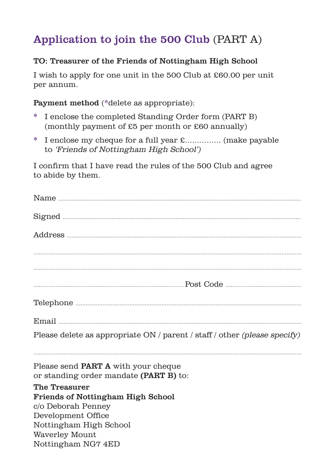# Application to join the 500 Club (PART A)

# TO: Treasurer of the Friends of Nottingham High School

I wish to apply for one unit in the 500 Club at £60.00 per unit per annum.

Payment method (\*delete as appropriate):

- \* I enclose the completed Standing Order form (PART B) (monthly payment of £5 per month or £60 annually)
- \* I enclose my cheque for a full year £............... (make payable to 'Friends of Nottingham High School')

I confirm that I have read the rules of the 500 Club and agree to abide by them.

| Please delete as appropriate ON / parent / staff / other (please specify) |  |  |  |  |
|---------------------------------------------------------------------------|--|--|--|--|
| Please send <b>PART A</b> with your cheque                                |  |  |  |  |
| or standing order mandate (PART B) to:                                    |  |  |  |  |
| The Treasurer                                                             |  |  |  |  |
| <b>Friends of Nottingham High School</b>                                  |  |  |  |  |
| c/o Deborah Penney                                                        |  |  |  |  |
| Development Office                                                        |  |  |  |  |
| Nottingham High School                                                    |  |  |  |  |
| Waverley Mount<br>Nottingham NG7 4ED                                      |  |  |  |  |
|                                                                           |  |  |  |  |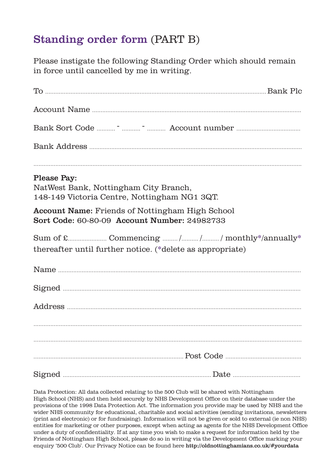# Standing order form (PART B)

Please instigate the following Standing Order which should remain in force until cancelled by me in writing.

| Please Pay:<br>NatWest Bank, Nottingham City Branch,<br>148-149 Victoria Centre, Nottingham NG1 3QT. |                                                           |
|------------------------------------------------------------------------------------------------------|-----------------------------------------------------------|
| Account Name: Friends of Nottingham High School<br>Sort Code: 60-80-09 Account Number: 24982733      |                                                           |
|                                                                                                      | thereafter until further notice. (*delete as appropriate) |
|                                                                                                      |                                                           |
|                                                                                                      |                                                           |
|                                                                                                      |                                                           |
|                                                                                                      |                                                           |
|                                                                                                      |                                                           |
|                                                                                                      |                                                           |
|                                                                                                      |                                                           |

Data Protection: All data collected relating to the 500 Club will be shared with Nottingham High School (NHS) and then held securely by NHS Development Office on their database under the provisions of the 1998 Data Protection Act. The information you provide may be used by NHS and the wider NHS community for educational, charitable and social activities (sending invitations, newsletters (print and electronic) or for fundraising). Information will not be given or sold to external (ie non NHS) entities for marketing or other purposes, except when acting as agents for the NHS Development Office under a duty of confidentiality. If at any time you wish to make a request for information held by the Friends of Nottingham High School, please do so in writing via the Development Office marking your enquiry '500 Club'. Our Privacy Notice can be found here http://oldnottinghamians.co.uk/#yourdata